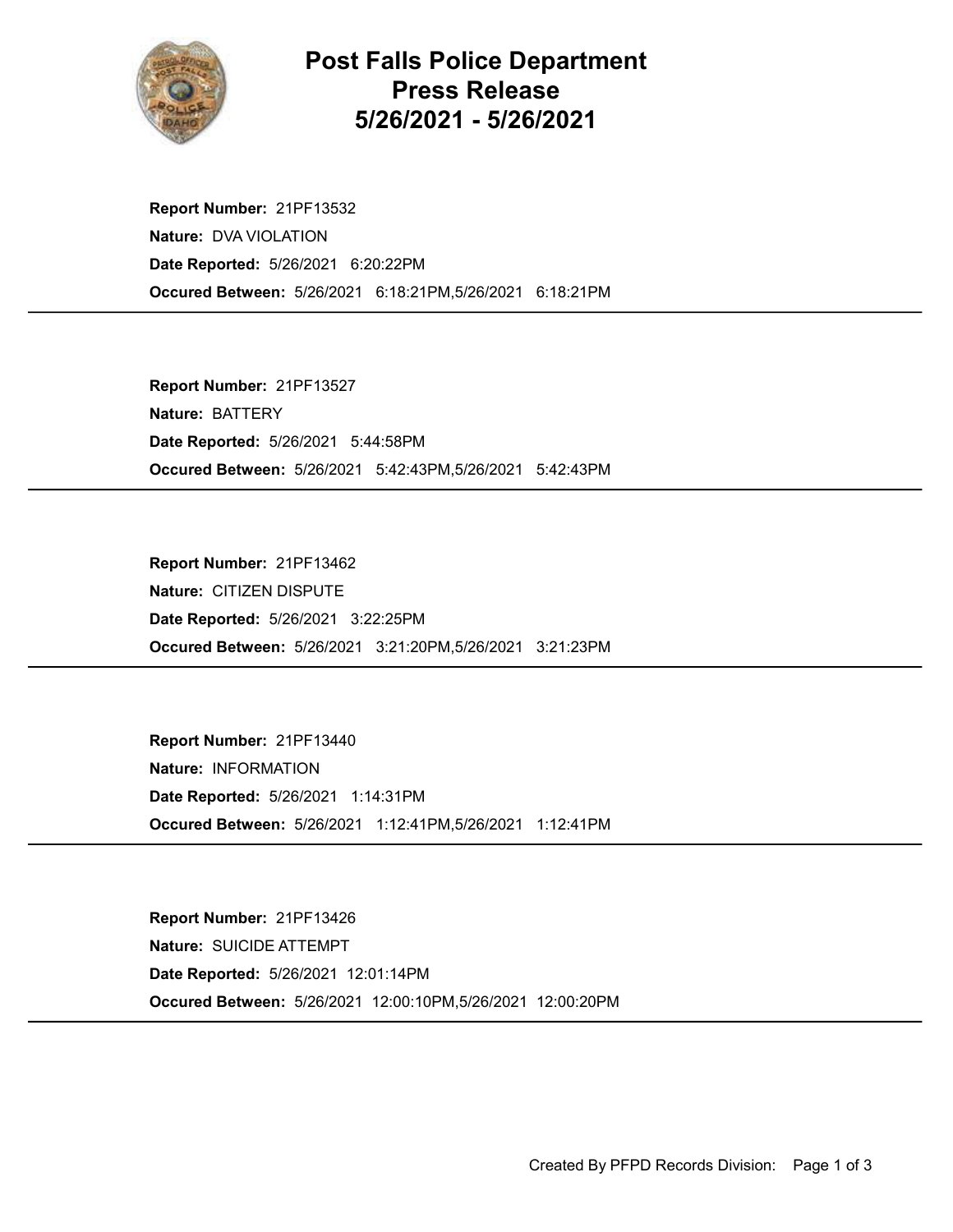

## Post Falls Police Department Press Release 5/26/2021 - 5/26/2021

Occured Between: 5/26/2021 6:18:21PM,5/26/2021 6:18:21PM Report Number: 21PF13532 Nature: DVA VIOLATION Date Reported: 5/26/2021 6:20:22PM

Occured Between: 5/26/2021 5:42:43PM,5/26/2021 5:42:43PM Report Number: 21PF13527 Nature: BATTERY Date Reported: 5/26/2021 5:44:58PM

Occured Between: 5/26/2021 3:21:20PM,5/26/2021 3:21:23PM Report Number: 21PF13462 Nature: CITIZEN DISPUTE Date Reported: 5/26/2021 3:22:25PM

Occured Between: 5/26/2021 1:12:41PM,5/26/2021 1:12:41PM Report Number: 21PF13440 Nature: INFORMATION Date Reported: 5/26/2021 1:14:31PM

Occured Between: 5/26/2021 12:00:10PM,5/26/2021 12:00:20PM Report Number: 21PF13426 Nature: SUICIDE ATTEMPT Date Reported: 5/26/2021 12:01:14PM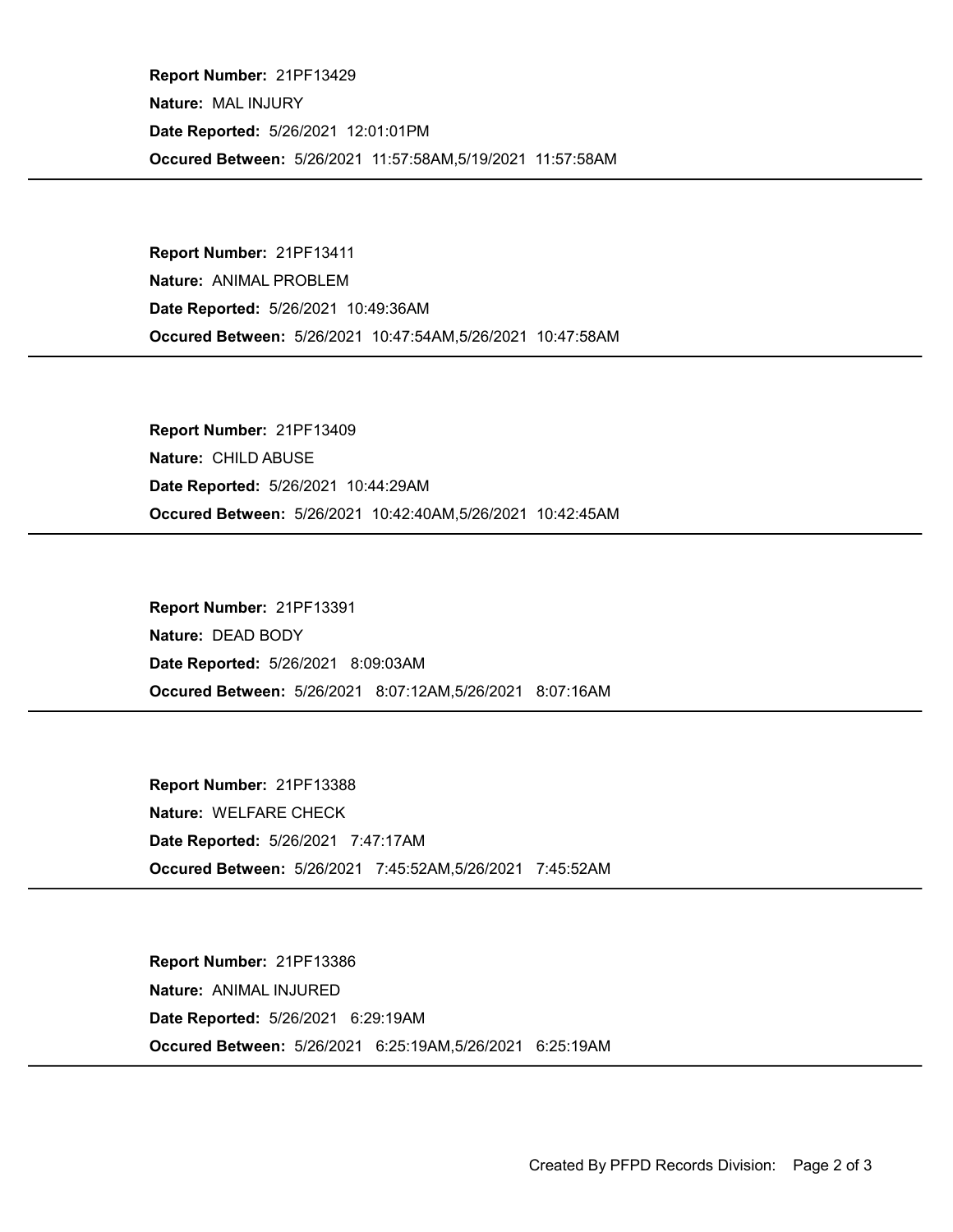Occured Between: 5/26/2021 11:57:58AM,5/19/2021 11:57:58AM Report Number: 21PF13429 Nature: MAL INJURY Date Reported: 5/26/2021 12:01:01PM

Occured Between: 5/26/2021 10:47:54AM,5/26/2021 10:47:58AM Report Number: 21PF13411 Nature: ANIMAL PROBLEM Date Reported: 5/26/2021 10:49:36AM

Occured Between: 5/26/2021 10:42:40AM,5/26/2021 10:42:45AM Report Number: 21PF13409 Nature: CHILD ABUSE Date Reported: 5/26/2021 10:44:29AM

Occured Between: 5/26/2021 8:07:12AM,5/26/2021 8:07:16AM Report Number: 21PF13391 Nature: DEAD BODY Date Reported: 5/26/2021 8:09:03AM

Occured Between: 5/26/2021 7:45:52AM,5/26/2021 7:45:52AM Report Number: 21PF13388 Nature: WELFARE CHECK Date Reported: 5/26/2021 7:47:17AM

Occured Between: 5/26/2021 6:25:19AM,5/26/2021 6:25:19AM Report Number: 21PF13386 Nature: ANIMAL INJURED Date Reported: 5/26/2021 6:29:19AM